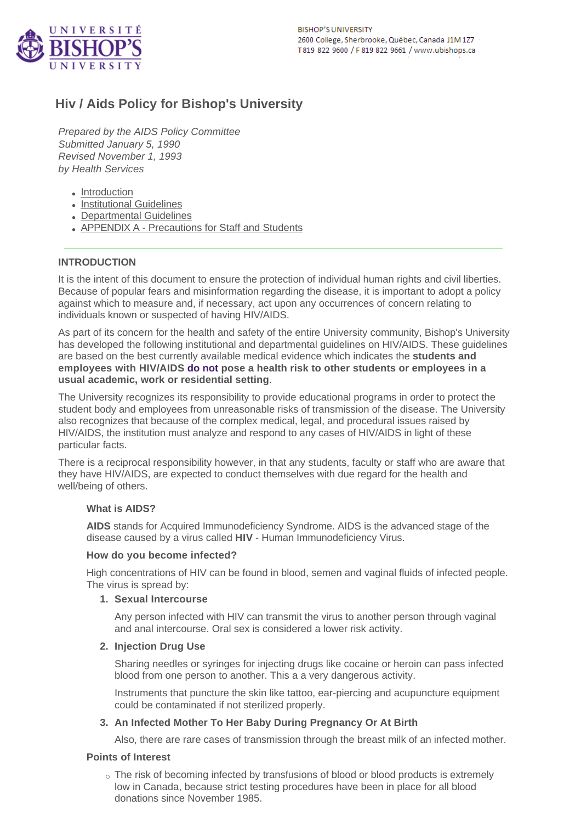# **Hiv / Aids Policy for Bishop's University**

*Prepared by the AIDS Policy Committee Submitted January 5, 1990 Revised November 1, 1993 by Health Services*

- [Introduction](#page-0-0)
- [Institutional Guidelines](#page-1-0)
- [Departmental Guidelines](#page-1-1)
- [APPENDIX A Precautions for Staff and Students](#page-2-0)

# <span id="page-0-0"></span>**INTRODUCTION**

It is the intent of this document to ensure the protection of individual human rights and civil liberties. Because of popular fears and misinformation regarding the disease, it is important to adopt a policy against which to measure and, if necessary, act upon any occurrences of concern relating to individuals known or suspected of having HIV/AIDS.

As part of its concern for the health and safety of the entire University community, Bishop's University has developed the following institutional and departmental guidelines on HIV/AIDS. These guidelines are based on the best currently available medical evidence which indicates the **students and employees with HIV/AIDS do not pose a health risk to other students or employees in a usual academic, work or residential setting**.

The University recognizes its responsibility to provide educational programs in order to protect the student body and employees from unreasonable risks of transmission of the disease. The University also recognizes that because of the complex medical, legal, and procedural issues raised by HIV/AIDS, the institution must analyze and respond to any cases of HIV/AIDS in light of these particular facts.

There is a reciprocal responsibility however, in that any students, faculty or staff who are aware that they have HIV/AIDS, are expected to conduct themselves with due regard for the health and well/being of others.

# **What is AIDS?**

**AIDS** stands for Acquired Immunodeficiency Syndrome. AIDS is the advanced stage of the disease caused by a virus called **HIV** - Human Immunodeficiency Virus.

# **How do you become infected?**

High concentrations of HIV can be found in blood, semen and vaginal fluids of infected people. The virus is spread by:

# **1. Sexual Intercourse**

Any person infected with HIV can transmit the virus to another person through vaginal and anal intercourse. Oral sex is considered a lower risk activity.

# **2. Injection Drug Use**

Sharing needles or syringes for injecting drugs like cocaine or heroin can pass infected blood from one person to another. This a a very dangerous activity.

Instruments that puncture the skin like tattoo, ear-piercing and acupuncture equipment could be contaminated if not sterilized properly.

# **3. An Infected Mother To Her Baby During Pregnancy Or At Birth**

Also, there are rare cases of transmission through the breast milk of an infected mother.

# **Points of Interest**

o The risk of becoming infected by transfusions of blood or blood products is extremely low in Canada, because strict testing procedures have been in place for all blood donations since November 1985.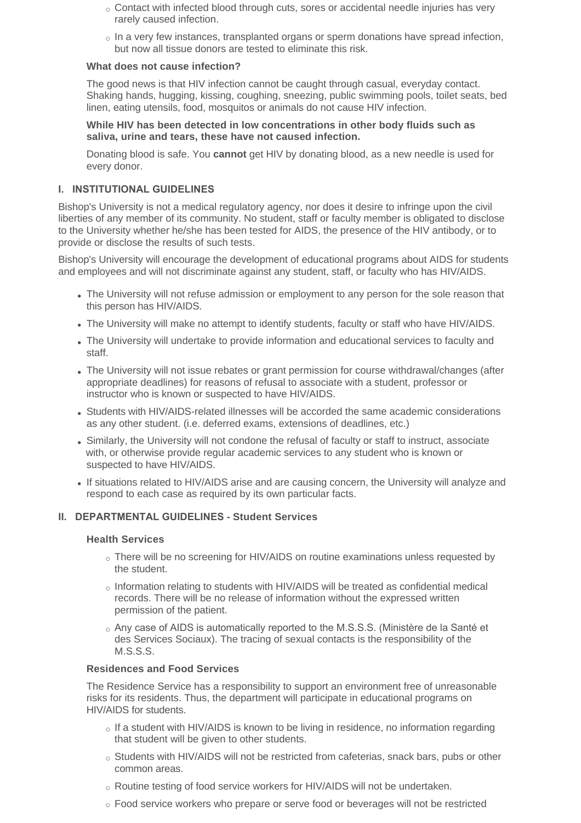- $\circ$  Contact with infected blood through cuts, sores or accidental needle injuries has very rarely caused infection.
- $\circ$  In a very few instances, transplanted organs or sperm donations have spread infection, but now all tissue donors are tested to eliminate this risk.

# **What does not cause infection?**

The good news is that HIV infection cannot be caught through casual, everyday contact. Shaking hands, hugging, kissing, coughing, sneezing, public swimming pools, toilet seats, bed linen, eating utensils, food, mosquitos or animals do not cause HIV infection.

#### **While HIV has been detected in low concentrations in other body fluids such as saliva, urine and tears, these have not caused infection.**

Donating blood is safe. You **cannot** get HIV by donating blood, as a new needle is used for every donor.

# <span id="page-1-0"></span>**I. INSTITUTIONAL GUIDELINES**

Bishop's University is not a medical regulatory agency, nor does it desire to infringe upon the civil liberties of any member of its community. No student, staff or faculty member is obligated to disclose to the University whether he/she has been tested for AIDS, the presence of the HIV antibody, or to provide or disclose the results of such tests.

Bishop's University will encourage the development of educational programs about AIDS for students and employees and will not discriminate against any student, staff, or faculty who has HIV/AIDS.

- . The University will not refuse admission or employment to any person for the sole reason that this person has HIV/AIDS.
- The University will make no attempt to identify students, faculty or staff who have HIV/AIDS.
- The University will undertake to provide information and educational services to faculty and staff.
- . The University will not issue rebates or grant permission for course withdrawal/changes (after appropriate deadlines) for reasons of refusal to associate with a student, professor or instructor who is known or suspected to have HIV/AIDS.
- Students with HIV/AIDS-related illnesses will be accorded the same academic considerations as any other student. (i.e. deferred exams, extensions of deadlines, etc.)
- Similarly, the University will not condone the refusal of faculty or staff to instruct, associate with, or otherwise provide regular academic services to any student who is known or suspected to have HIV/AIDS.
- If situations related to HIV/AIDS arise and are causing concern, the University will analyze and respond to each case as required by its own particular facts.

# <span id="page-1-1"></span>**II. DEPARTMENTAL GUIDELINES - Student Services**

#### **Health Services**

- $\circ$  There will be no screening for HIV/AIDS on routine examinations unless requested by the student.
- $\circ$  Information relating to students with HIV/AIDS will be treated as confidential medical records. There will be no release of information without the expressed written permission of the patient.
- $\alpha$  Any case of AIDS is automatically reported to the M.S.S.S. (Ministère de la Santé et des Services Sociaux). The tracing of sexual contacts is the responsibility of the M.S.S.S.

#### **Residences and Food Services**

The Residence Service has a responsibility to support an environment free of unreasonable risks for its residents. Thus, the department will participate in educational programs on HIV/AIDS for students.

- $\circ$  If a student with HIV/AIDS is known to be living in residence, no information regarding that student will be given to other students.
- $\circ$  Students with HIV/AIDS will not be restricted from cafeterias, snack bars, pubs or other common areas.
- o Routine testing of food service workers for HIV/AIDS will not be undertaken.
- $\circ$  Food service workers who prepare or serve food or beverages will not be restricted